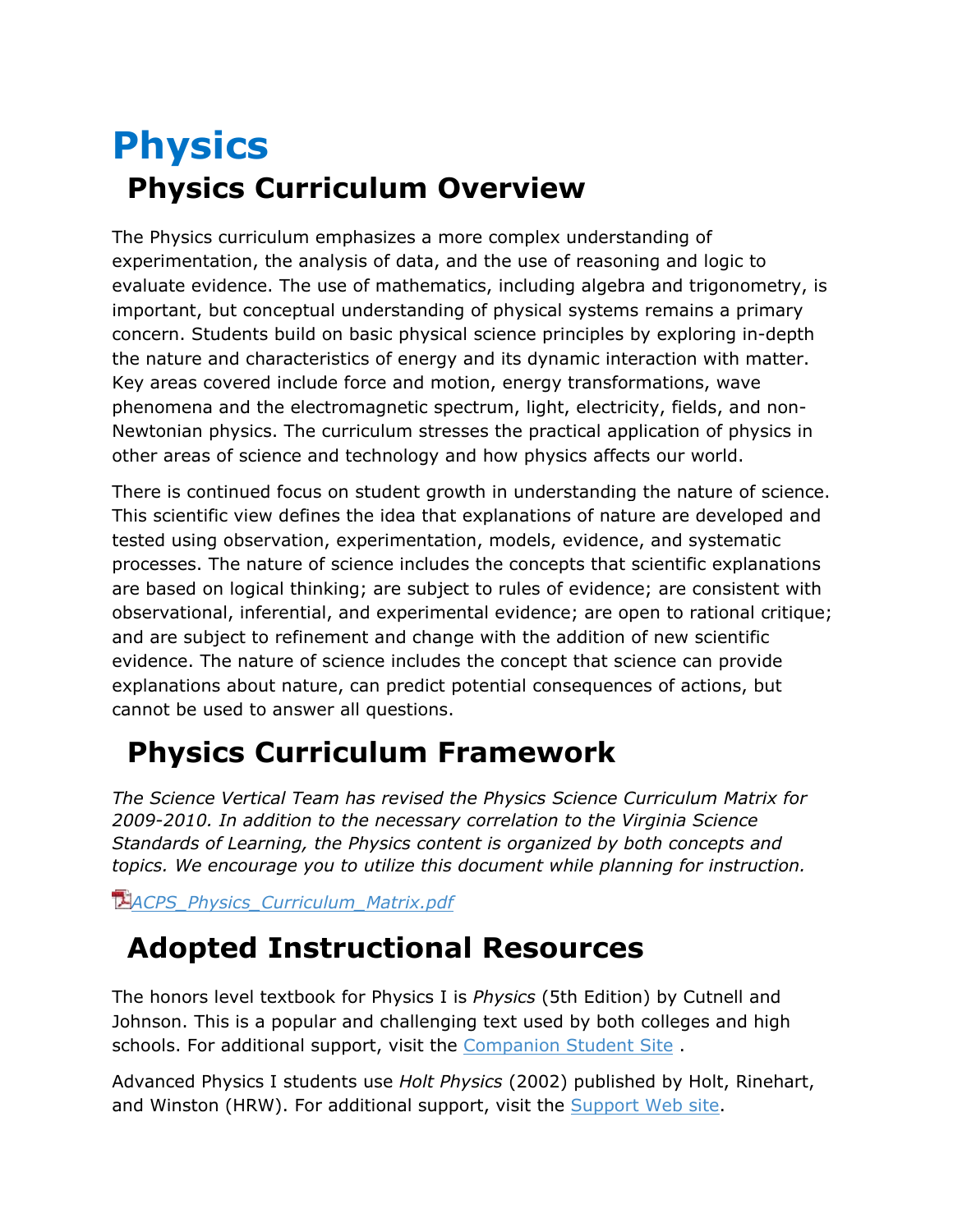## **Physics Physics Curriculum Overview**

The Physics curriculum emphasizes a more complex understanding of experimentation, the analysis of data, and the use of reasoning and logic to evaluate evidence. The use of mathematics, including algebra and trigonometry, is important, but conceptual understanding of physical systems remains a primary concern. Students build on basic physical science principles by exploring in-depth the nature and characteristics of energy and its dynamic interaction with matter. Key areas covered include force and motion, energy transformations, wave phenomena and the electromagnetic spectrum, light, electricity, fields, and non-Newtonian physics. The curriculum stresses the practical application of physics in other areas of science and technology and how physics affects our world.

There is continued focus on student growth in understanding the nature of science. This scientific view defines the idea that explanations of nature are developed and tested using observation, experimentation, models, evidence, and systematic processes. The nature of science includes the concepts that scientific explanations are based on logical thinking; are subject to rules of evidence; are consistent with observational, inferential, and experimental evidence; are open to rational critique; and are subject to refinement and change with the addition of new scientific evidence. The nature of science includes the concept that science can provide explanations about nature, can predict potential consequences of actions, but cannot be used to answer all questions.

## **Physics Curriculum Framework**

*The Science Vertical Team has revised the Physics Science Curriculum Matrix for 2009-2010. In addition to the necessary correlation to the Virginia Science Standards of Learning, the Physics content is organized by both concepts and topics. We encourage you to utilize this document while planning for instruction.*

*[ACPS\\_Physics\\_Curriculum\\_Matrix.pdf](https://inside.k12albemarle.org/dept/instruction/science/resources/Documents/ACPS_Physics_Curriculum_Matrix.pdf)*

## **Adopted Instructional Resources**

The honors level textbook for Physics I is *Physics* (5th Edition) by Cutnell and Johnson. This is a popular and challenging text used by both colleges and high schools. For additional support, visit the [Companion Student Site](http://jws-edcv.wiley.com/college/bcs/redesign/student/0,,_047132146X_BKS_1066____,00.html) .

Advanced Physics I students use *Holt Physics* (2002) published by Holt, Rinehart, and Winston (HRW). For additional support, visit the [Support Web site.](http://www.hrw.com/science/hp/toc.htm)